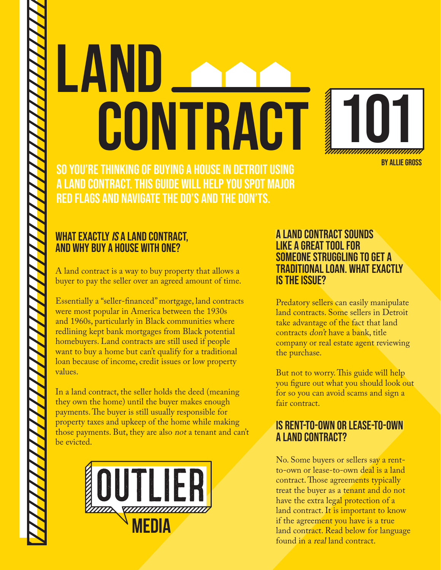# LAND CONTRACT



So you're thinking of buying a house in Detroit using a land contract. This guide will help you spot major red flags and navigate the do's and the don'ts.

# WHAT EXACTLY IS A LAND CONTRACT, and why buy a house with one?

A land contract is a way to buy property that allows a buyer to pay the seller over an agreed amount of time.

Essentially a "seller-financed" mortgage, land contracts were most popular in America between the 1930s and 1960s, particularly in Black communities where redlining kept bank mortgages from Black potential homebuyers. Land contracts are still used if people want to buy a home but can't qualify for a traditional loan because of income, credit issues or low property values.

In a land contract, the seller holds the deed (meaning they own the home) until the buyer makes enough payments. The buyer is still usually responsible for property taxes and upkeep of the home while making those payments. But, they are also not a tenant and can't be evicted.



#### A land contract sounds like a great tool for someone struggling to get a traditional loan. What exactly is the issue?

Predatory sellers can easily manipulate land contracts. Some sellers in Detroit take advantage of the fact that land contracts don't have a bank, title company or real estate agent reviewing the purchase.

But not to worry. This guide will help you figure out what you should look out for so you can avoid scams and sign a fair contract.

### Is rent-to-own or lease-to-own a land contract?

No. Some buyers or sellers say a rentto-own or lease-to-own deal is a land contract. Those agreements typically treat the buyer as a tenant and do not have the extra legal protection of a land contract. It is important to know if the agreement you have is a true land contract. Read below for language found in a real land contract.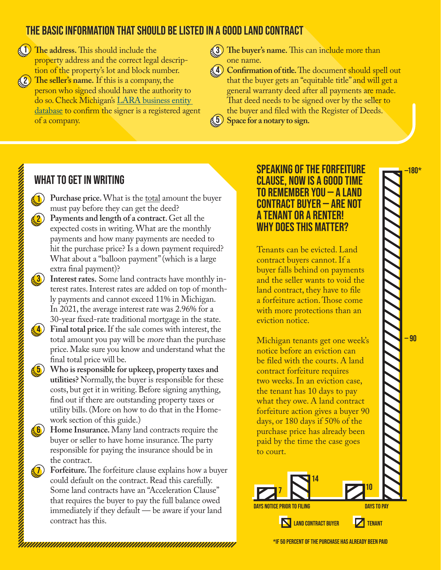# The BASIC Information that should be listed in a good land contract

- **1**) The address. This should include the **1** property address and the correct legal description of the property's lot and block number. **The seller's name.** If this is a company, the 2
	- person who signed should have the authority to do so. Check Michigan's [LARA business entity](https://cofs.lara.state.mi.us/SearchApi/Search/Search)  [database](https://cofs.lara.state.mi.us/SearchApi/Search/Search) to confirm the signer is a registered agent of a company.
- **The buyer's name.** This can include more than one name.

 **Confirmation of title.** The document should spell out 4 that the buyer gets an "equitable title" and will get a general warranty deed after all payments are made. That deed needs to be signed over by the seller to the buyer and filed with the Register of Deeds. **Space for a notary to sign.**



# What to get in writing

1

- **Purchase price.** What is the total amount the buyer must pay before they can get the deed?
- **Payments and length of a contract.** Get all the expected costs in writing. What are the monthly payments and how many payments are needed to hit the purchase price? Is a down payment required? What about a "balloon payment" (which is a large extra final payment)? 2
- **Interest rates.** Some land contracts have monthly interest rates. Interest rates are added on top of monthly payments and cannot exceed 11% in Michigan. In 2021, the average interest rate was 2.96% for a 30-year fixed-rate traditional mortgage in the state. 3
- **Final total price.** If the sale comes with interest, the total amount you pay will be more than the purchase price. Make sure you know and understand what the final total price will be. 4
- **Who is responsible for upkeep, property taxes and utilities?** Normally, the buyer is responsible for these costs, but get it in writing. Before signing anything, find out if there are outstanding property taxes or utility bills. (More on how to do that in the Homework section of this guide.) 5
- **Home Insurance.** Many land contracts require the buyer or seller to have home insurance. The party responsible for paying the insurance should be in the contract. 6
- **Forfeiture.** The forfeiture clause explains how a buyer could default on the contract. Read this carefully. Some land contracts have an "Acceleration Clause" that requires the buyer to pay the full balance owed immediately if they default — be aware if your land contract has this. 7

#### Speaking of the forfeiture clause, now is a good time to remember you — a land contract buyer — are not a tenant or a renter! Why does this matter?

Tenants can be evicted. Land contract buyers cannot. If a buyer falls behind on payments and the seller wants to void the land contract, they have to file a forfeiture action. Those come with more protections than an eviction notice.

Michigan tenants get one week's notice before an eviction can be filed with the courts. A land contract forfeiture requires two weeks. In an eviction case, the tenant has 10 days to pay what they owe. A land contract forfeiture action gives a buyer 90 days, or 180 days if 50% of the purchase price has already been paid by the time the case goes to court.



**N** LAND CONTRACT BUYER

**Z** TENANT

- 90

,,,,,,,

**111** 

180\*